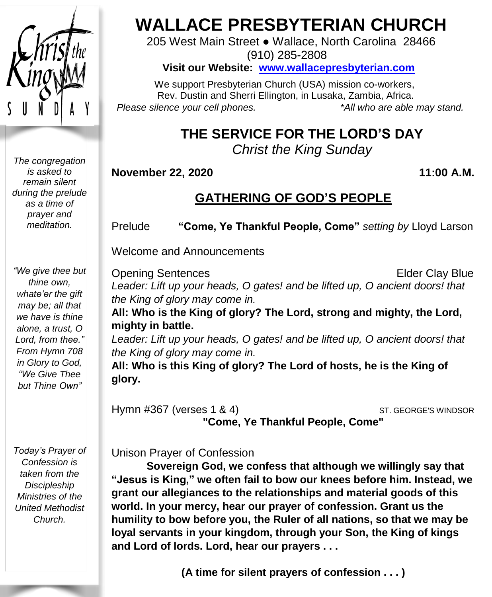

*The congregation is asked to remain silent during the prelude as a time of prayer and meditation.*

*"We give thee but thine own, whate'er the gift may be; all that we have is thine alone, a trust, O Lord, from thee." From Hymn 708 in Glory to God, "We Give Thee but Thine Own"*

*Today's Prayer of Confession is taken from the Discipleship Ministries of the United Methodist Church.*

# **WALLACE PRESBYTERIAN CHURCH**

205 West Main Street ● Wallace, North Carolina 28466 (910) 285-2808

**Visit our Website: [www.wallacepresbyterian.com](http://www.wallacepresbyterian.com/)**

 We support Presbyterian Church (USA) mission co-workers, Rev. Dustin and Sherri Ellington, in Lusaka, Zambia, Africa. *Please silence your cell phones. \*All who are able may stand.*

## **THE SERVICE FOR THE LORD'S DAY**

*Christ the King Sunday*

**November 22, 2020 11:00 A.M.**

## **GATHERING OF GOD'S PEOPLE**

Prelude **"Come, Ye Thankful People, Come"** *setting by* Lloyd Larson

Welcome and Announcements

Opening Sentences **Elder Clay Blue** *Leader: Lift up your heads, O gates! and be lifted up, O ancient doors! that the King of glory may come in.* **All: Who is the King of glory? The Lord, strong and mighty, the Lord, mighty in battle.** *Leader: Lift up your heads, O gates! and be lifted up, O ancient doors! that the King of glory may come in.*

**All: Who is this King of glory? The Lord of hosts, he is the King of glory.**

Hymn #367 (verses 1 & 4) ST. GEORGE'S WINDSOR **"Come, Ye Thankful People, Come"**

Unison Prayer of Confession

**Sovereign God, we confess that although we willingly say that "Jesus is King," we often fail to bow our knees before him. Instead, we grant our allegiances to the relationships and material goods of this world. In your mercy, hear our prayer of confession. Grant us the humility to bow before you, the Ruler of all nations, so that we may be loyal servants in your kingdom, through your Son, the King of kings and Lord of lords. Lord, hear our prayers . . .**

**(A time for silent prayers of confession . . . )**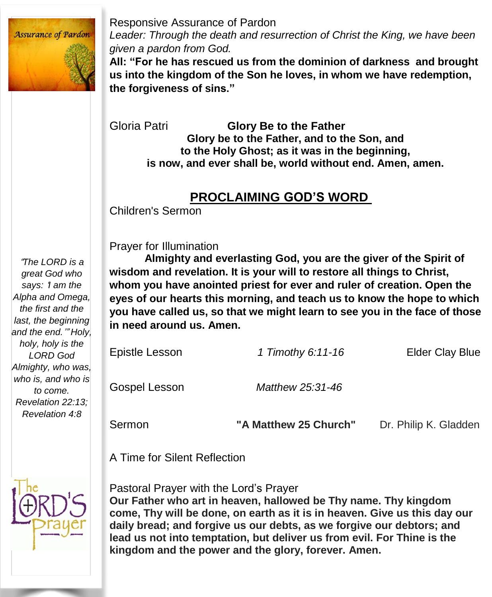

Responsive Assurance of Pardon *Leader: Through the death and resurrection of Christ the King, we have been given a pardon from God.*

**All: "For he has rescued us from the dominion of darkness and brought us into the kingdom of the Son he loves, in whom we have redemption, the forgiveness of sins."**

Gloria Patri **Glory Be to the Father Glory be to the Father, and to the Son, and to the Holy Ghost; as it was in the beginning, is now, and ever shall be, world without end. Amen, amen.**

#### **PROCLAIMING GOD'S WORD**

Children's Sermon

Prayer for Illumination

"*The LORD is a great God who says:* '*I am the Alpha and Omega, the first and the last, the beginning and the end.*'" *Holy, holy, holy is the LORD God Almighty, who was, who is, and who is to come. Revelation 22:13; Revelation 4:8*

**Almighty and everlasting God, you are the giver of the Spirit of wisdom and revelation. It is your will to restore all things to Christ, whom you have anointed priest for ever and ruler of creation. Open the eyes of our hearts this morning, and teach us to know the hope to which you have called us, so that we might learn to see you in the face of those in need around us. Amen.**

| Sermon         | "A Matthew 25 Church" | Dr. Philip K. Gladden  |
|----------------|-----------------------|------------------------|
| Gospel Lesson  | Matthew 25:31-46      |                        |
| Epistle Lesson | 1 Timothy 6:11-16     | <b>Elder Clay Blue</b> |

A Time for Silent Reflection



Pastoral Prayer with the Lord's Prayer **Our Father who art in heaven, hallowed be Thy name. Thy kingdom come, Thy will be done, on earth as it is in heaven. Give us this day our daily bread; and forgive us our debts, as we forgive our debtors; and lead us not into temptation, but deliver us from evil. For Thine is the kingdom and the power and the glory, forever. Amen.**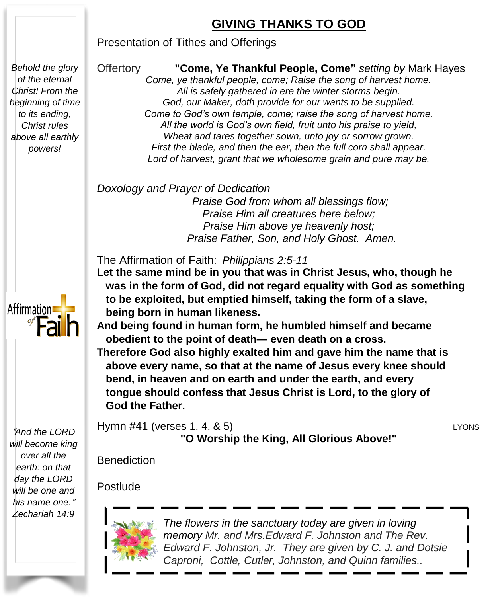### **GIVING THANKS TO GOD**

Presentation of Tithes and Offerings

*Behold the glory of the eternal Christ! From the beginning of time to its ending, Christ rules above all earthly powers!*

Affirmation

"*And the LORD will become king over all the earth: on that day the LORD will be one and his name one.*" *Zechariah 14:9*

#### Offertory **"Come, Ye Thankful People, Come"** *setting by* Mark Hayes

 *Lord of harvest, grant that we wholesome grain and pure may be. Come, ye thankful people, come; Raise the song of harvest home. All is safely gathered in ere the winter storms begin. God, our Maker, doth provide for our wants to be supplied. Come to God's own temple, come; raise the song of harvest home. All the world is God's own field, fruit unto his praise to yield, Wheat and tares together sown, unto joy or sorrow grown. First the blade, and then the ear, then the full corn shall appear.*

*Doxology and Prayer of Dedication* 

*Praise God from whom all blessings flow; Praise Him all creatures here below; Praise Him above ye heavenly host; Praise Father, Son, and Holy Ghost. Amen.*

The Affirmation of Faith: *Philippians 2:5-11*

**Let the same mind be in you that was in Christ Jesus, who, though he was in the form of God, did not regard equality with God as something to be exploited, but emptied himself, taking the form of a slave, being born in human likeness.**

**And being found in human form, he humbled himself and became obedient to the point of death— even death on a cross.**

**Therefore God also highly exalted him and gave him the name that is above every name, so that at the name of Jesus every knee should bend, in heaven and on earth and under the earth, and every tongue should confess that Jesus Christ is Lord, to the glory of God the Father.**

Hymn #41 (verses 1, 4, & 5) LYONS **"O Worship the King, All Glorious Above!"**

Benediction

Postlude



*The flowers in the sanctuary today are given in loving memory Mr. and Mrs.Edward F. Johnston and The Rev. Edward F. Johnston, Jr. They are given by C. J. and Dotsie Caproni, Cottle, Cutler, Johnston, and Quinn families..*